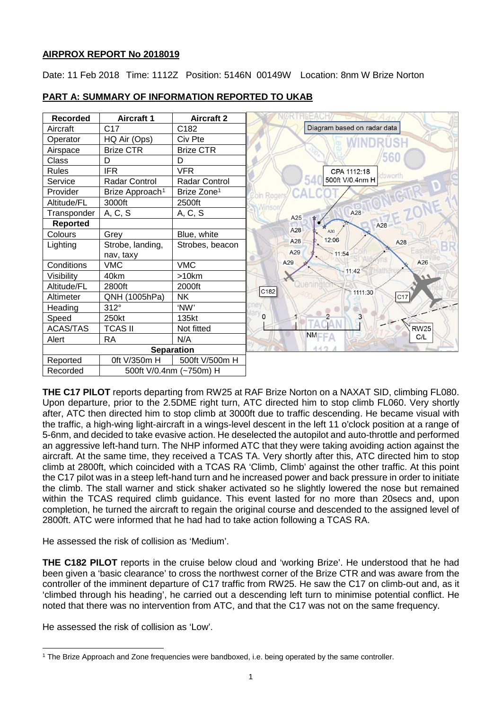## **AIRPROX REPORT No 2018019**

Date: 11 Feb 2018 Time: 1112Z Position: 5146N 00149W Location: 8nm W Brize Norton

| <b>Recorded</b> | <b>Aircraft 1</b>           | <b>Aircraft 2</b>       |                             |
|-----------------|-----------------------------|-------------------------|-----------------------------|
| Aircraft        | C <sub>17</sub>             | C182                    | Diagram based on radar data |
| Operator        | HQ Air (Ops)                | Civ Pte                 |                             |
| Airspace        | <b>Brize CTR</b>            | <b>Brize CTR</b>        |                             |
| Class           | D                           | D                       |                             |
| <b>Rules</b>    | <b>IFR</b>                  | <b>VFR</b>              | CPA 1112:18<br>dsworth      |
| Service         | Radar Control               | Radar Control           | 500ft V/0.4nm H             |
| Provider        | Brize Approach <sup>1</sup> | Brize Zone <sup>1</sup> | Roger                       |
| Altitude/FL     | 3000ft                      | 2500ft                  |                             |
| Transponder     | A, C, S                     | A, C, S                 | A28<br>A25<br>☆             |
| <b>Reported</b> |                             |                         | A28                         |
| Colours         | Grey                        | Blue, white             | A28<br>A30<br>12:06         |
| Lighting        | Strobe, landing,            | Strobes, beacon         | A28<br>A28                  |
|                 | nav, taxy                   |                         | A29<br>$-11:54$             |
| Conditions      | <b>VMC</b>                  | <b>VMC</b>              | A26<br>A29<br>11:42         |
| Visibility      | 40km                        | >10km                   |                             |
| Altitude/FL     | 2800ft                      | 2000ft                  | Quenin<br>C182<br>1111:30   |
| Altimeter       | QNH (1005hPa)               | <b>NK</b>               | C17                         |
| Heading         | $312^\circ$                 | 'NW'                    |                             |
| Speed           | 250kt                       | 135kt                   | $\overline{2}$<br>0         |
| <b>ACAS/TAS</b> | <b>TCAS II</b>              | Not fitted              | <b>RW25</b>                 |
| Alert           | <b>RA</b>                   | N/A                     | <b>NMFFA</b><br>C/L         |
|                 |                             | <b>Separation</b>       |                             |
| Reported        | 0ft V/350m H                | 500ft V/500m H          |                             |
| Recorded        | 500ft V/0.4nm (~750m) H     |                         |                             |

# **PART A: SUMMARY OF INFORMATION REPORTED TO UKAB**

**THE C17 PILOT** reports departing from RW25 at RAF Brize Norton on a NAXAT SID, climbing FL080. Upon departure, prior to the 2.5DME right turn, ATC directed him to stop climb FL060. Very shortly after, ATC then directed him to stop climb at 3000ft due to traffic descending. He became visual with the traffic, a high-wing light-aircraft in a wings-level descent in the left 11 o'clock position at a range of 5-6nm, and decided to take evasive action. He deselected the autopilot and auto-throttle and performed an aggressive left-hand turn. The NHP informed ATC that they were taking avoiding action against the aircraft. At the same time, they received a TCAS TA. Very shortly after this, ATC directed him to stop climb at 2800ft, which coincided with a TCAS RA 'Climb, Climb' against the other traffic. At this point the C17 pilot was in a steep left-hand turn and he increased power and back pressure in order to initiate the climb. The stall warner and stick shaker activated so he slightly lowered the nose but remained within the TCAS required climb guidance. This event lasted for no more than 20secs and, upon completion, he turned the aircraft to regain the original course and descended to the assigned level of 2800ft. ATC were informed that he had had to take action following a TCAS RA.

He assessed the risk of collision as 'Medium'.

**THE C182 PILOT** reports in the cruise below cloud and 'working Brize'. He understood that he had been given a 'basic clearance' to cross the northwest corner of the Brize CTR and was aware from the controller of the imminent departure of C17 traffic from RW25. He saw the C17 on climb-out and, as it 'climbed through his heading', he carried out a descending left turn to minimise potential conflict. He noted that there was no intervention from ATC, and that the C17 was not on the same frequency.

He assessed the risk of collision as 'Low'.

<span id="page-0-0"></span> $\overline{\phantom{a}}$ <sup>1</sup> The Brize Approach and Zone frequencies were bandboxed, i.e. being operated by the same controller.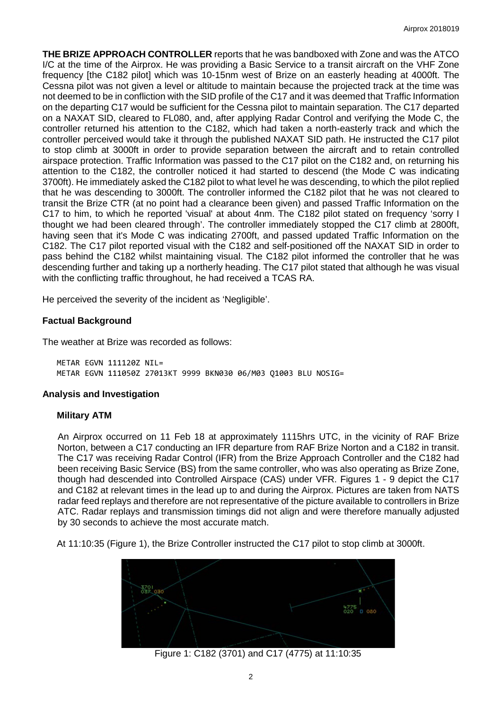**THE BRIZE APPROACH CONTROLLER** reports that he was bandboxed with Zone and was the ATCO I/C at the time of the Airprox. He was providing a Basic Service to a transit aircraft on the VHF Zone frequency [the C182 pilot] which was 10-15nm west of Brize on an easterly heading at 4000ft. The Cessna pilot was not given a level or altitude to maintain because the projected track at the time was not deemed to be in confliction with the SID profile of the C17 and it was deemed that Traffic Information on the departing C17 would be sufficient for the Cessna pilot to maintain separation. The C17 departed on a NAXAT SID, cleared to FL080, and, after applying Radar Control and verifying the Mode C, the controller returned his attention to the C182, which had taken a north-easterly track and which the controller perceived would take it through the published NAXAT SID path. He instructed the C17 pilot to stop climb at 3000ft in order to provide separation between the aircraft and to retain controlled airspace protection. Traffic Information was passed to the C17 pilot on the C182 and, on returning his attention to the C182, the controller noticed it had started to descend (the Mode C was indicating 3700ft). He immediately asked the C182 pilot to what level he was descending, to which the pilot replied that he was descending to 3000ft. The controller informed the C182 pilot that he was not cleared to transit the Brize CTR (at no point had a clearance been given) and passed Traffic Information on the C17 to him, to which he reported 'visual' at about 4nm. The C182 pilot stated on frequency 'sorry I thought we had been cleared through'. The controller immediately stopped the C17 climb at 2800ft, having seen that it's Mode C was indicating 2700ft, and passed updated Traffic Information on the C182. The C17 pilot reported visual with the C182 and self-positioned off the NAXAT SID in order to pass behind the C182 whilst maintaining visual. The C182 pilot informed the controller that he was descending further and taking up a northerly heading. The C17 pilot stated that although he was visual with the conflicting traffic throughout, he had received a TCAS RA.

He perceived the severity of the incident as 'Negligible'.

## **Factual Background**

The weather at Brize was recorded as follows:

METAR EGVN 111120Z NIL= METAR EGVN 111050Z 27013KT 9999 BKN030 06/M03 Q1003 BLU NOSIG=

## **Analysis and Investigation**

## **Military ATM**

An Airprox occurred on 11 Feb 18 at approximately 1115hrs UTC, in the vicinity of RAF Brize Norton, between a C17 conducting an IFR departure from RAF Brize Norton and a C182 in transit. The C17 was receiving Radar Control (IFR) from the Brize Approach Controller and the C182 had been receiving Basic Service (BS) from the same controller, who was also operating as Brize Zone, though had descended into Controlled Airspace (CAS) under VFR. Figures 1 - 9 depict the C17 and C182 at relevant times in the lead up to and during the Airprox. Pictures are taken from NATS radar feed replays and therefore are not representative of the picture available to controllers in Brize ATC. Radar replays and transmission timings did not align and were therefore manually adjusted by 30 seconds to achieve the most accurate match.

At 11:10:35 (Figure 1), the Brize Controller instructed the C17 pilot to stop climb at 3000ft.



Figure 1: C182 (3701) and C17 (4775) at 11:10:35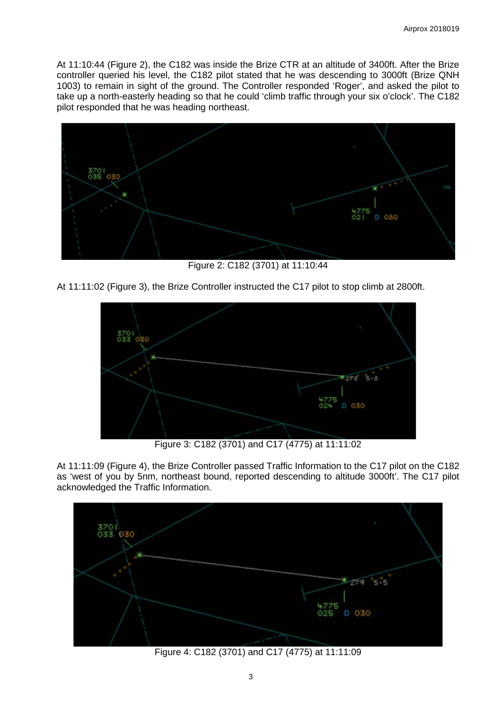At 11:10:44 (Figure 2), the C182 was inside the Brize CTR at an altitude of 3400ft. After the Brize controller queried his level, the C182 pilot stated that he was descending to 3000ft (Brize QNH 1003) to remain in sight of the ground. The Controller responded 'Roger', and asked the pilot to take up a north-easterly heading so that he could 'climb traffic through your six o'clock'. The C182 pilot responded that he was heading northeast.



Figure 2: C182 (3701) at 11:10:44

At 11:11:02 (Figure 3), the Brize Controller instructed the C17 pilot to stop climb at 2800ft.



Figure 3: C182 (3701) and C17 (4775) at 11:11:02

At 11:11:09 (Figure 4), the Brize Controller passed Traffic Information to the C17 pilot on the C182 as 'west of you by 5nm, northeast bound, reported descending to altitude 3000ft'. The C17 pilot acknowledged the Traffic Information.



Figure 4: C182 (3701) and C17 (4775) at 11:11:09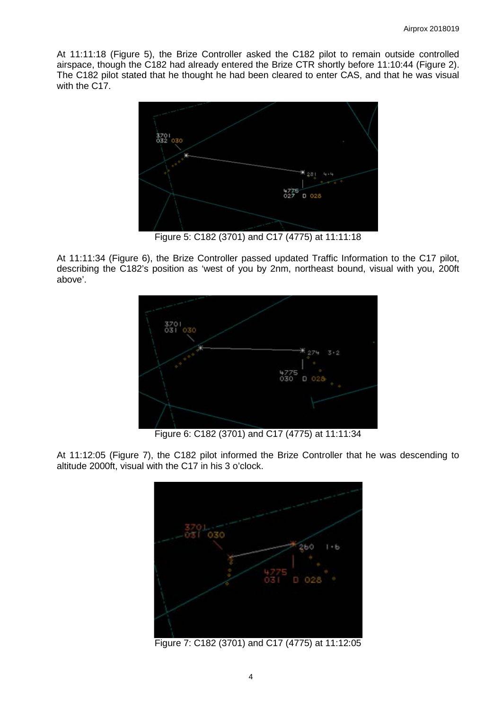At 11:11:18 (Figure 5), the Brize Controller asked the C182 pilot to remain outside controlled airspace, though the C182 had already entered the Brize CTR shortly before 11:10:44 (Figure 2). The C182 pilot stated that he thought he had been cleared to enter CAS, and that he was visual with the C17.



Figure 5: C182 (3701) and C17 (4775) at 11:11:18

At 11:11:34 (Figure 6), the Brize Controller passed updated Traffic Information to the C17 pilot, describing the C182's position as 'west of you by 2nm, northeast bound, visual with you, 200ft above'.



Figure 6: C182 (3701) and C17 (4775) at 11:11:34

At 11:12:05 (Figure 7), the C182 pilot informed the Brize Controller that he was descending to altitude 2000ft, visual with the C17 in his 3 o'clock.



Figure 7: C182 (3701) and C17 (4775) at 11:12:05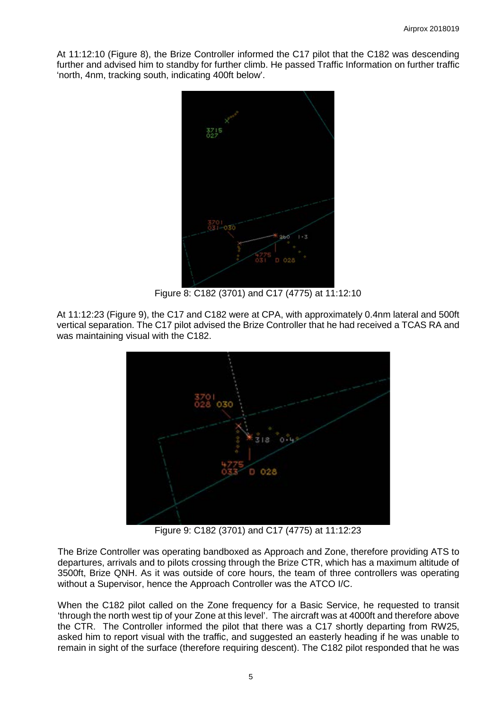At 11:12:10 (Figure 8), the Brize Controller informed the C17 pilot that the C182 was descending further and advised him to standby for further climb. He passed Traffic Information on further traffic 'north, 4nm, tracking south, indicating 400ft below'.



Figure 8: C182 (3701) and C17 (4775) at 11:12:10

At 11:12:23 (Figure 9), the C17 and C182 were at CPA, with approximately 0.4nm lateral and 500ft vertical separation. The C17 pilot advised the Brize Controller that he had received a TCAS RA and was maintaining visual with the C182.



Figure 9: C182 (3701) and C17 (4775) at 11:12:23

The Brize Controller was operating bandboxed as Approach and Zone, therefore providing ATS to departures, arrivals and to pilots crossing through the Brize CTR, which has a maximum altitude of 3500ft, Brize QNH. As it was outside of core hours, the team of three controllers was operating without a Supervisor, hence the Approach Controller was the ATCO I/C.

When the C182 pilot called on the Zone frequency for a Basic Service, he requested to transit 'through the north west tip of your Zone at this level'. The aircraft was at 4000ft and therefore above the CTR. The Controller informed the pilot that there was a C17 shortly departing from RW25, asked him to report visual with the traffic, and suggested an easterly heading if he was unable to remain in sight of the surface (therefore requiring descent). The C182 pilot responded that he was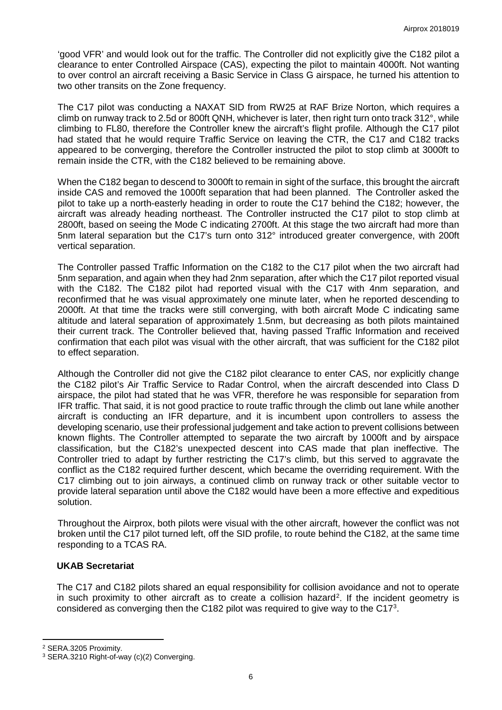'good VFR' and would look out for the traffic. The Controller did not explicitly give the C182 pilot a clearance to enter Controlled Airspace (CAS), expecting the pilot to maintain 4000ft. Not wanting to over control an aircraft receiving a Basic Service in Class G airspace, he turned his attention to two other transits on the Zone frequency.

The C17 pilot was conducting a NAXAT SID from RW25 at RAF Brize Norton, which requires a climb on runway track to 2.5d or 800ft QNH, whichever is later, then right turn onto track 312°, while climbing to FL80, therefore the Controller knew the aircraft's flight profile. Although the C17 pilot had stated that he would require Traffic Service on leaving the CTR, the C17 and C182 tracks appeared to be converging, therefore the Controller instructed the pilot to stop climb at 3000ft to remain inside the CTR, with the C182 believed to be remaining above.

When the C182 began to descend to 3000ft to remain in sight of the surface, this brought the aircraft inside CAS and removed the 1000ft separation that had been planned. The Controller asked the pilot to take up a north-easterly heading in order to route the C17 behind the C182; however, the aircraft was already heading northeast. The Controller instructed the C17 pilot to stop climb at 2800ft, based on seeing the Mode C indicating 2700ft. At this stage the two aircraft had more than 5nm lateral separation but the C17's turn onto 312° introduced greater convergence, with 200ft vertical separation.

The Controller passed Traffic Information on the C182 to the C17 pilot when the two aircraft had 5nm separation, and again when they had 2nm separation, after which the C17 pilot reported visual with the C182. The C182 pilot had reported visual with the C17 with 4nm separation, and reconfirmed that he was visual approximately one minute later, when he reported descending to 2000ft. At that time the tracks were still converging, with both aircraft Mode C indicating same altitude and lateral separation of approximately 1.5nm, but decreasing as both pilots maintained their current track. The Controller believed that, having passed Traffic Information and received confirmation that each pilot was visual with the other aircraft, that was sufficient for the C182 pilot to effect separation.

Although the Controller did not give the C182 pilot clearance to enter CAS, nor explicitly change the C182 pilot's Air Traffic Service to Radar Control, when the aircraft descended into Class D airspace, the pilot had stated that he was VFR, therefore he was responsible for separation from IFR traffic. That said, it is not good practice to route traffic through the climb out lane while another aircraft is conducting an IFR departure, and it is incumbent upon controllers to assess the developing scenario, use their professional judgement and take action to prevent collisions between known flights. The Controller attempted to separate the two aircraft by 1000ft and by airspace classification, but the C182's unexpected descent into CAS made that plan ineffective. The Controller tried to adapt by further restricting the C17's climb, but this served to aggravate the conflict as the C182 required further descent, which became the overriding requirement. With the C17 climbing out to join airways, a continued climb on runway track or other suitable vector to provide lateral separation until above the C182 would have been a more effective and expeditious solution.

Throughout the Airprox, both pilots were visual with the other aircraft, however the conflict was not broken until the C17 pilot turned left, off the SID profile, to route behind the C182, at the same time responding to a TCAS RA.

#### **UKAB Secretariat**

The C17 and C182 pilots shared an equal responsibility for collision avoidance and not to operate in such proximity to other aircraft as to create a collision hazard<sup>[2](#page-5-0)</sup>. If the incident geometry is considered as converging then the C182 pilot was required to give way to the C17 $3$ .

l

<span id="page-5-0"></span><sup>2</sup> SERA.3205 Proximity.

<span id="page-5-1"></span><sup>3</sup> SERA.3210 Right-of-way (c)(2) Converging.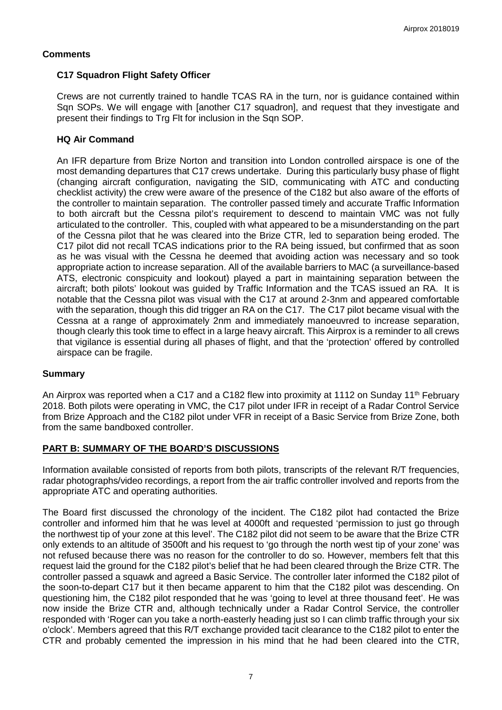### **Comments**

## **C17 Squadron Flight Safety Officer**

Crews are not currently trained to handle TCAS RA in the turn, nor is guidance contained within Sqn SOPs. We will engage with [another C17 squadron], and request that they investigate and present their findings to Trg Flt for inclusion in the Sqn SOP.

## **HQ Air Command**

An IFR departure from Brize Norton and transition into London controlled airspace is one of the most demanding departures that C17 crews undertake. During this particularly busy phase of flight (changing aircraft configuration, navigating the SID, communicating with ATC and conducting checklist activity) the crew were aware of the presence of the C182 but also aware of the efforts of the controller to maintain separation. The controller passed timely and accurate Traffic Information to both aircraft but the Cessna pilot's requirement to descend to maintain VMC was not fully articulated to the controller. This, coupled with what appeared to be a misunderstanding on the part of the Cessna pilot that he was cleared into the Brize CTR, led to separation being eroded. The C17 pilot did not recall TCAS indications prior to the RA being issued, but confirmed that as soon as he was visual with the Cessna he deemed that avoiding action was necessary and so took appropriate action to increase separation. All of the available barriers to MAC (a surveillance-based ATS, electronic conspicuity and lookout) played a part in maintaining separation between the aircraft; both pilots' lookout was guided by Traffic Information and the TCAS issued an RA. It is notable that the Cessna pilot was visual with the C17 at around 2-3nm and appeared comfortable with the separation, though this did trigger an RA on the C17. The C17 pilot became visual with the Cessna at a range of approximately 2nm and immediately manoeuvred to increase separation, though clearly this took time to effect in a large heavy aircraft. This Airprox is a reminder to all crews that vigilance is essential during all phases of flight, and that the 'protection' offered by controlled airspace can be fragile.

## **Summary**

An Airprox was reported when a C17 and a C182 flew into proximity at 1112 on Sunday 11<sup>th</sup> February 2018. Both pilots were operating in VMC, the C17 pilot under IFR in receipt of a Radar Control Service from Brize Approach and the C182 pilot under VFR in receipt of a Basic Service from Brize Zone, both from the same bandboxed controller.

## **PART B: SUMMARY OF THE BOARD'S DISCUSSIONS**

Information available consisted of reports from both pilots, transcripts of the relevant R/T frequencies, radar photographs/video recordings, a report from the air traffic controller involved and reports from the appropriate ATC and operating authorities.

The Board first discussed the chronology of the incident. The C182 pilot had contacted the Brize controller and informed him that he was level at 4000ft and requested 'permission to just go through the northwest tip of your zone at this level'. The C182 pilot did not seem to be aware that the Brize CTR only extends to an altitude of 3500ft and his request to 'go through the north west tip of your zone' was not refused because there was no reason for the controller to do so. However, members felt that this request laid the ground for the C182 pilot's belief that he had been cleared through the Brize CTR. The controller passed a squawk and agreed a Basic Service. The controller later informed the C182 pilot of the soon-to-depart C17 but it then became apparent to him that the C182 pilot was descending. On questioning him, the C182 pilot responded that he was 'going to level at three thousand feet'. He was now inside the Brize CTR and, although technically under a Radar Control Service, the controller responded with 'Roger can you take a north-easterly heading just so I can climb traffic through your six o'clock'. Members agreed that this R/T exchange provided tacit clearance to the C182 pilot to enter the CTR and probably cemented the impression in his mind that he had been cleared into the CTR,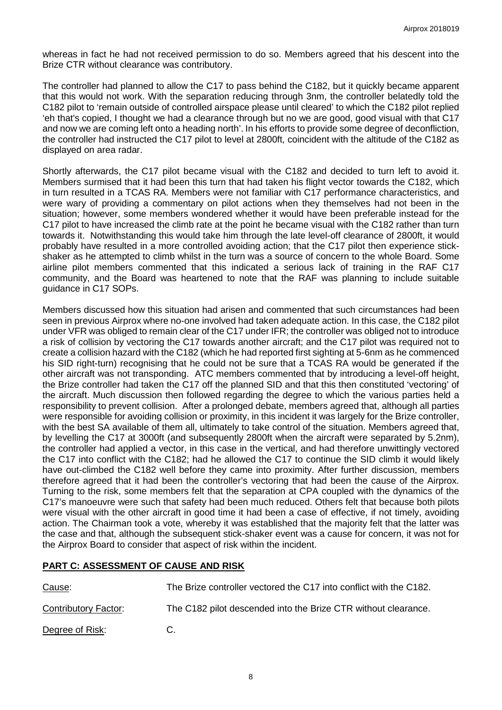whereas in fact he had not received permission to do so. Members agreed that his descent into the Brize CTR without clearance was contributory.

The controller had planned to allow the C17 to pass behind the C182, but it quickly became apparent that this would not work. With the separation reducing through 3nm, the controller belatedly told the C182 pilot to 'remain outside of controlled airspace please until cleared' to which the C182 pilot replied 'eh that's copied, I thought we had a clearance through but no we are good, good visual with that C17 and now we are coming left onto a heading north'. In his efforts to provide some degree of deconfliction, the controller had instructed the C17 pilot to level at 2800ft, coincident with the altitude of the C182 as displayed on area radar.

Shortly afterwards, the C17 pilot became visual with the C182 and decided to turn left to avoid it. Members surmised that it had been this turn that had taken his flight vector towards the C182, which in turn resulted in a TCAS RA. Members were not familiar with C17 performance characteristics, and were wary of providing a commentary on pilot actions when they themselves had not been in the situation; however, some members wondered whether it would have been preferable instead for the C17 pilot to have increased the climb rate at the point he became visual with the C182 rather than turn towards it. Notwithstanding this would take him through the late level-off clearance of 2800ft, it would probably have resulted in a more controlled avoiding action; that the C17 pilot then experience stickshaker as he attempted to climb whilst in the turn was a source of concern to the whole Board. Some airline pilot members commented that this indicated a serious lack of training in the RAF C17 community, and the Board was heartened to note that the RAF was planning to include suitable guidance in C17 SOPs.

Members discussed how this situation had arisen and commented that such circumstances had been seen in previous Airprox where no-one involved had taken adequate action. In this case, the C182 pilot under VFR was obliged to remain clear of the C17 under IFR; the controller was obliged not to introduce a risk of collision by vectoring the C17 towards another aircraft; and the C17 pilot was required not to create a collision hazard with the C182 (which he had reported first sighting at 5-6nm as he commenced his SID right-turn) recognising that he could not be sure that a TCAS RA would be generated if the other aircraft was not transponding. ATC members commented that by introducing a level-off height, the Brize controller had taken the C17 off the planned SID and that this then constituted 'vectoring' of the aircraft. Much discussion then followed regarding the degree to which the various parties held a responsibility to prevent collision. After a prolonged debate, members agreed that, although all parties were responsible for avoiding collision or proximity, in this incident it was largely for the Brize controller, with the best SA available of them all, ultimately to take control of the situation. Members agreed that, by levelling the C17 at 3000ft (and subsequently 2800ft when the aircraft were separated by 5.2nm), the controller had applied a vector, in this case in the vertical, and had therefore unwittingly vectored the C17 into conflict with the C182; had he allowed the C17 to continue the SID climb it would likely have out-climbed the C182 well before they came into proximity. After further discussion, members therefore agreed that it had been the controller's vectoring that had been the cause of the Airprox. Turning to the risk, some members felt that the separation at CPA coupled with the dynamics of the C17's manoeuvre were such that safety had been much reduced. Others felt that because both pilots were visual with the other aircraft in good time it had been a case of effective, if not timely, avoiding action. The Chairman took a vote, whereby it was established that the majority felt that the latter was the case and that, although the subsequent stick-shaker event was a cause for concern, it was not for the Airprox Board to consider that aspect of risk within the incident.

## **PART C: ASSESSMENT OF CAUSE AND RISK**

| Cause:               | The Brize controller vectored the C17 into conflict with the C182. |
|----------------------|--------------------------------------------------------------------|
| Contributory Factor: | The C182 pilot descended into the Brize CTR without clearance.     |
| Degree of Risk:      | C.                                                                 |